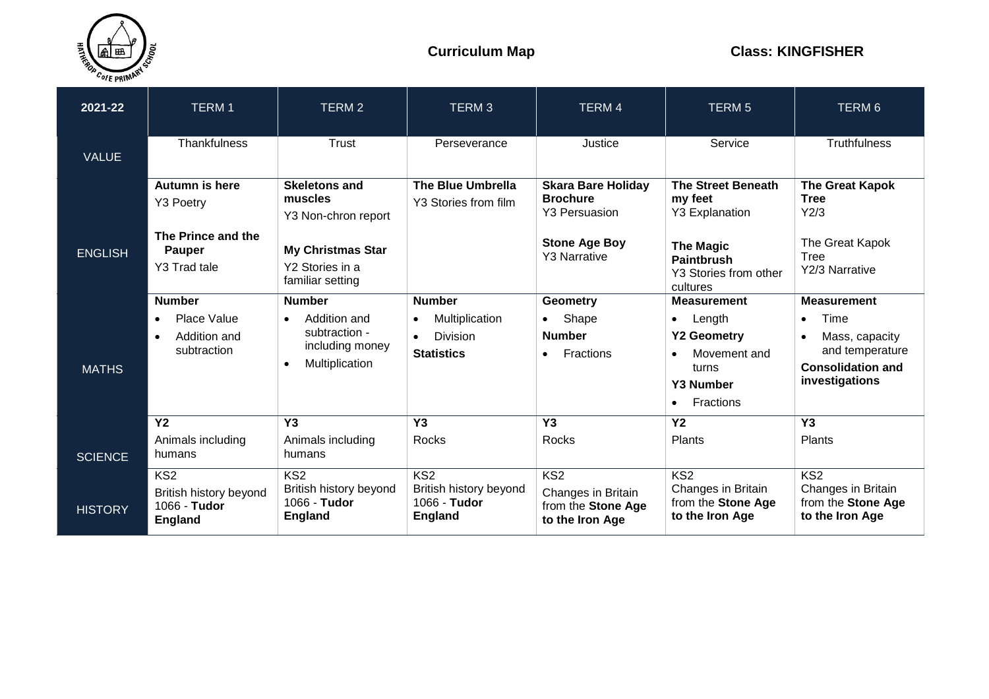

| 2021-22        | <b>TERM1</b>                                                                | <b>TERM2</b>                                                                | TERM <sub>3</sub>                                               | <b>TERM4</b>                                                                   | <b>TERM 5</b>                                                                             | TERM <sub>6</sub>                                                                            |
|----------------|-----------------------------------------------------------------------------|-----------------------------------------------------------------------------|-----------------------------------------------------------------|--------------------------------------------------------------------------------|-------------------------------------------------------------------------------------------|----------------------------------------------------------------------------------------------|
| <b>VALUE</b>   | Thankfulness                                                                | Trust                                                                       | Perseverance                                                    | Justice                                                                        | Service                                                                                   | <b>Truthfulness</b>                                                                          |
|                | Autumn is here<br>Y3 Poetry                                                 | <b>Skeletons and</b><br>muscles<br>Y3 Non-chron report                      | The Blue Umbrella<br>Y3 Stories from film                       | <b>Skara Bare Holiday</b><br><b>Brochure</b><br><b>Y3 Persuasion</b>           | <b>The Street Beneath</b><br>my feet<br><b>Y3 Explanation</b>                             | <b>The Great Kapok</b><br><b>Tree</b><br>Y2/3                                                |
| <b>ENGLISH</b> | The Prince and the<br><b>Pauper</b><br>Y3 Trad tale                         | <b>My Christmas Star</b><br>Y2 Stories in a<br>familiar setting             |                                                                 | <b>Stone Age Boy</b><br><b>Y3 Narrative</b>                                    | <b>The Magic</b><br><b>Paintbrush</b><br>Y3 Stories from other<br>cultures                | The Great Kapok<br>Tree<br>Y2/3 Narrative                                                    |
|                | <b>Number</b><br>Place Value<br>$\bullet$                                   | <b>Number</b><br>Addition and<br>$\bullet$                                  | <b>Number</b><br>Multiplication<br>$\bullet$                    | Geometry<br>Shape<br>$\bullet$                                                 | <b>Measurement</b><br>Length<br>$\bullet$                                                 | <b>Measurement</b><br>Time<br>$\bullet$                                                      |
| <b>MATHS</b>   | Addition and<br>$\bullet$<br>subtraction                                    | subtraction -<br>including money<br>Multiplication<br>$\bullet$             | <b>Division</b><br>$\bullet$<br><b>Statistics</b>               | <b>Number</b><br><b>Fractions</b><br>$\bullet$                                 | <b>Y2 Geometry</b><br>Movement and<br>turns<br><b>Y3 Number</b><br>Fractions<br>$\bullet$ | Mass, capacity<br>$\bullet$<br>and temperature<br><b>Consolidation and</b><br>investigations |
| <b>SCIENCE</b> | Y <sub>2</sub><br>Animals including<br>humans                               | Y <sub>3</sub><br>Animals including<br>humans                               | Y <sub>3</sub><br>Rocks                                         | Y <sub>3</sub><br>Rocks                                                        | Y <sub>2</sub><br><b>Plants</b>                                                           | Y3<br>Plants                                                                                 |
| <b>HISTORY</b> | KS <sub>2</sub><br>British history beyond<br>1066 - Tudor<br><b>England</b> | KS <sub>2</sub><br>British history beyond<br>1066 - Tudor<br><b>England</b> | KS2<br>British history beyond<br>1066 - Tudor<br><b>England</b> | KS <sub>2</sub><br>Changes in Britain<br>from the Stone Age<br>to the Iron Age | KS <sub>2</sub><br>Changes in Britain<br>from the Stone Age<br>to the Iron Age            | KS <sub>2</sub><br>Changes in Britain<br>from the Stone Age<br>to the Iron Age               |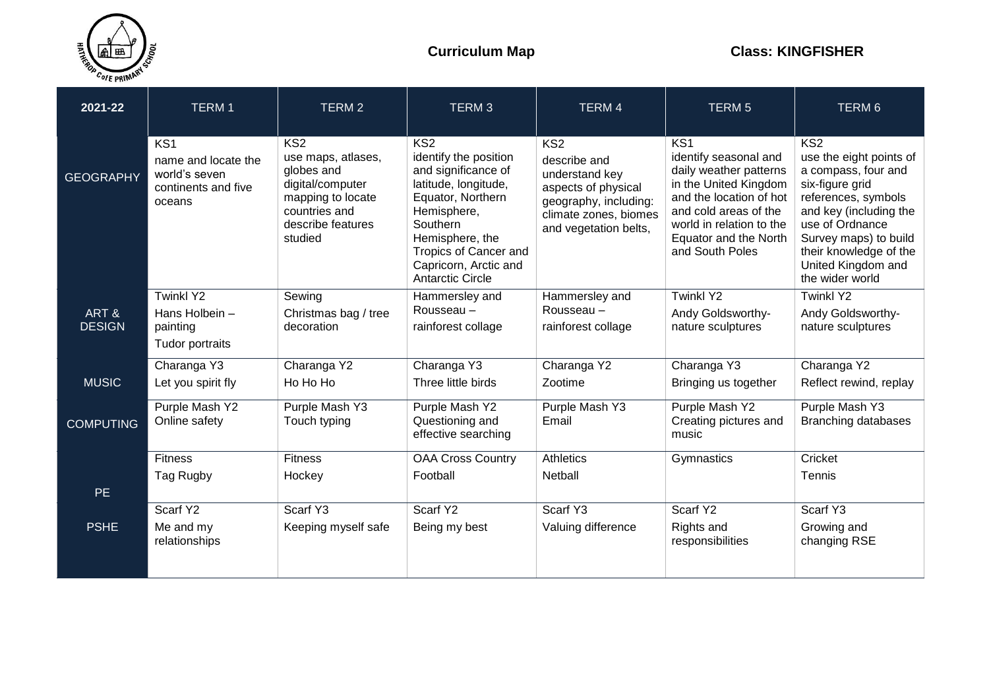

| 2021-22          | <b>TERM1</b>                                                                             | TERM <sub>2</sub>                                                                                                                 | TERM <sub>3</sub>                                                                                                                                                                                                           | <b>TERM4</b>                                                                                                                                        | <b>TERM 5</b>                                                                                                                                                                                                           | TERM 6                                                                                                                                                                                                                                   |
|------------------|------------------------------------------------------------------------------------------|-----------------------------------------------------------------------------------------------------------------------------------|-----------------------------------------------------------------------------------------------------------------------------------------------------------------------------------------------------------------------------|-----------------------------------------------------------------------------------------------------------------------------------------------------|-------------------------------------------------------------------------------------------------------------------------------------------------------------------------------------------------------------------------|------------------------------------------------------------------------------------------------------------------------------------------------------------------------------------------------------------------------------------------|
| <b>GEOGRAPHY</b> | KS <sub>1</sub><br>name and locate the<br>world's seven<br>continents and five<br>oceans | KS2<br>use maps, atlases,<br>globes and<br>digital/computer<br>mapping to locate<br>countries and<br>describe features<br>studied | KS2<br>identify the position<br>and significance of<br>latitude, longitude,<br>Equator, Northern<br>Hemisphere,<br>Southern<br>Hemisphere, the<br>Tropics of Cancer and<br>Capricorn, Arctic and<br><b>Antarctic Circle</b> | KS <sub>2</sub><br>describe and<br>understand key<br>aspects of physical<br>geography, including:<br>climate zones, biomes<br>and vegetation belts, | KS <sub>1</sub><br>identify seasonal and<br>daily weather patterns<br>in the United Kingdom<br>and the location of hot<br>and cold areas of the<br>world in relation to the<br>Equator and the North<br>and South Poles | KS2<br>use the eight points of<br>a compass, four and<br>six-figure grid<br>references, symbols<br>and key (including the<br>use of Ordnance<br>Survey maps) to build<br>their knowledge of the<br>United Kingdom and<br>the wider world |
| ART&             | <b>Twinkl Y2</b><br>Hans Holbein -                                                       | Sewing<br>Christmas bag / tree                                                                                                    | Hammersley and<br>Rousseau -                                                                                                                                                                                                | Hammersley and<br>Rousseau -                                                                                                                        | <b>Twinkl Y2</b><br>Andy Goldsworthy-                                                                                                                                                                                   | Twinkl Y2<br>Andy Goldsworthy-                                                                                                                                                                                                           |
| <b>DESIGN</b>    | painting<br>Tudor portraits                                                              | decoration                                                                                                                        | rainforest collage                                                                                                                                                                                                          | rainforest collage                                                                                                                                  | nature sculptures                                                                                                                                                                                                       | nature sculptures                                                                                                                                                                                                                        |
|                  | Charanga Y3                                                                              | Charanga Y2                                                                                                                       | Charanga Y3                                                                                                                                                                                                                 | Charanga Y2                                                                                                                                         | Charanga Y3                                                                                                                                                                                                             | Charanga Y2                                                                                                                                                                                                                              |
| <b>MUSIC</b>     | Let you spirit fly                                                                       | Ho Ho Ho                                                                                                                          | Three little birds                                                                                                                                                                                                          | Zootime                                                                                                                                             | Bringing us together                                                                                                                                                                                                    | Reflect rewind, replay                                                                                                                                                                                                                   |
| <b>COMPUTING</b> | Purple Mash Y2<br>Online safety                                                          | Purple Mash Y3<br>Touch typing                                                                                                    | Purple Mash Y2<br>Questioning and<br>effective searching                                                                                                                                                                    | Purple Mash Y3<br>Email                                                                                                                             | Purple Mash Y2<br>Creating pictures and<br>music                                                                                                                                                                        | Purple Mash Y3<br><b>Branching databases</b>                                                                                                                                                                                             |
|                  | <b>Fitness</b>                                                                           | <b>Fitness</b>                                                                                                                    | <b>OAA Cross Country</b>                                                                                                                                                                                                    | <b>Athletics</b>                                                                                                                                    | Gymnastics                                                                                                                                                                                                              | Cricket                                                                                                                                                                                                                                  |
|                  | Tag Rugby                                                                                | Hockey                                                                                                                            | Football                                                                                                                                                                                                                    | Netball                                                                                                                                             |                                                                                                                                                                                                                         | Tennis                                                                                                                                                                                                                                   |
| <b>PE</b>        |                                                                                          |                                                                                                                                   |                                                                                                                                                                                                                             |                                                                                                                                                     |                                                                                                                                                                                                                         |                                                                                                                                                                                                                                          |
|                  | Scarf Y2                                                                                 | Scarf Y3                                                                                                                          | Scarf Y2                                                                                                                                                                                                                    | Scarf Y3                                                                                                                                            | Scarf Y2                                                                                                                                                                                                                | Scarf Y3                                                                                                                                                                                                                                 |
| <b>PSHE</b>      | Me and my<br>relationships                                                               | Keeping myself safe                                                                                                               | Being my best                                                                                                                                                                                                               | Valuing difference                                                                                                                                  | Rights and<br>responsibilities                                                                                                                                                                                          | Growing and<br>changing RSE                                                                                                                                                                                                              |